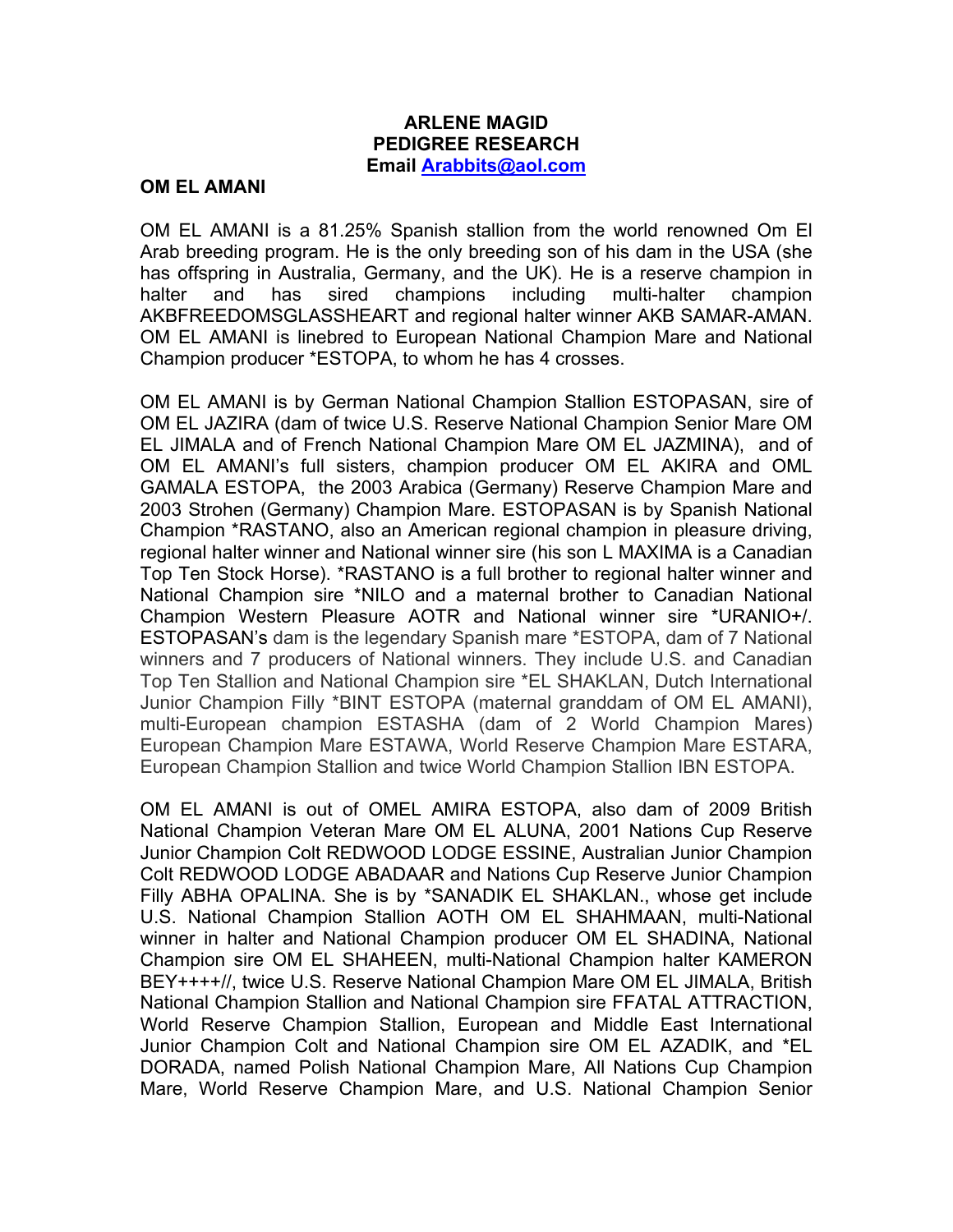## **ARLENE MAGID PEDIGREE RESEARCH Email Arabbits@aol.com**

## **OM EL AMANI**

OM EL AMANI is a 81.25% Spanish stallion from the world renowned Om El Arab breeding program. He is the only breeding son of his dam in the USA (she has offspring in Australia, Germany, and the UK). He is a reserve champion in halter and has sired champions including multi-halter champion AKBFREEDOMSGLASSHEART and regional halter winner AKB SAMAR-AMAN. OM EL AMANI is linebred to European National Champion Mare and National Champion producer \*ESTOPA, to whom he has 4 crosses.

OM EL AMANI is by German National Champion Stallion ESTOPASAN, sire of OM EL JAZIRA (dam of twice U.S. Reserve National Champion Senior Mare OM EL JIMALA and of French National Champion Mare OM EL JAZMINA), and of OM EL AMANI's full sisters, champion producer OM EL AKIRA and OML GAMALA ESTOPA, the 2003 Arabica (Germany) Reserve Champion Mare and 2003 Strohen (Germany) Champion Mare. ESTOPASAN is by Spanish National Champion \*RASTANO, also an American regional champion in pleasure driving, regional halter winner and National winner sire (his son L MAXIMA is a Canadian Top Ten Stock Horse). \*RASTANO is a full brother to regional halter winner and National Champion sire \*NILO and a maternal brother to Canadian National Champion Western Pleasure AOTR and National winner sire \*URANIO+/. ESTOPASAN's dam is the legendary Spanish mare \*ESTOPA, dam of 7 National winners and 7 producers of National winners. They include U.S. and Canadian Top Ten Stallion and National Champion sire \*EL SHAKLAN, Dutch International Junior Champion Filly \*BINT ESTOPA (maternal granddam of OM EL AMANI), multi-European champion ESTASHA (dam of 2 World Champion Mares) European Champion Mare ESTAWA, World Reserve Champion Mare ESTARA, European Champion Stallion and twice World Champion Stallion IBN ESTOPA.

OM EL AMANI is out of OMEL AMIRA ESTOPA, also dam of 2009 British National Champion Veteran Mare OM EL ALUNA, 2001 Nations Cup Reserve Junior Champion Colt REDWOOD LODGE ESSINE, Australian Junior Champion Colt REDWOOD LODGE ABADAAR and Nations Cup Reserve Junior Champion Filly ABHA OPALINA. She is by \*SANADIK EL SHAKLAN., whose get include U.S. National Champion Stallion AOTH OM EL SHAHMAAN, multi-National winner in halter and National Champion producer OM EL SHADINA, National Champion sire OM EL SHAHEEN, multi-National Champion halter KAMERON BEY++++//, twice U.S. Reserve National Champion Mare OM EL JIMALA, British National Champion Stallion and National Champion sire FFATAL ATTRACTION, World Reserve Champion Stallion, European and Middle East International Junior Champion Colt and National Champion sire OM EL AZADIK, and \*EL DORADA, named Polish National Champion Mare, All Nations Cup Champion Mare, World Reserve Champion Mare, and U.S. National Champion Senior